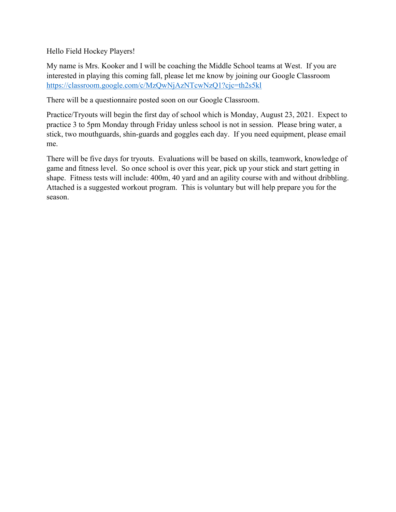Hello Field Hockey Players!

My name is Mrs. Kooker and I will be coaching the Middle School teams at West. If you are interested in playing this coming fall, please let me know by joining our Google Classroom <https://classroom.google.com/c/MzQwNjAzNTcwNzQ1?cjc=th2s5kl>

There will be a questionnaire posted soon on our Google Classroom.

Practice/Tryouts will begin the first day of school which is Monday, August 23, 2021. Expect to practice 3 to 5pm Monday through Friday unless school is not in session. Please bring water, a stick, two mouthguards, shin-guards and goggles each day. If you need equipment, please email me.

There will be five days for tryouts. Evaluations will be based on skills, teamwork, knowledge of game and fitness level. So once school is over this year, pick up your stick and start getting in shape. Fitness tests will include: 400m, 40 yard and an agility course with and without dribbling. Attached is a suggested workout program. This is voluntary but will help prepare you for the season.